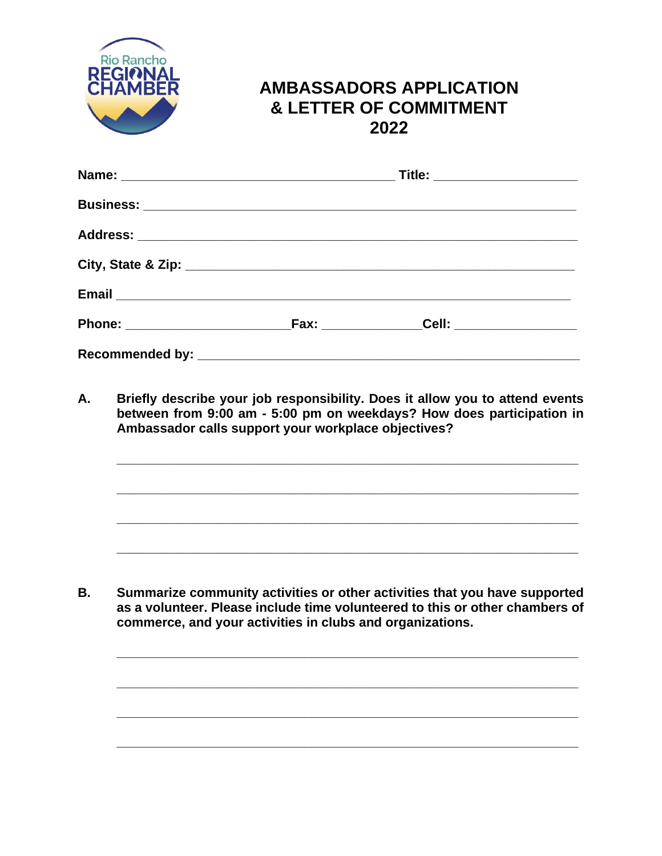

## **AMBASSADORS APPLICATION & LETTER OF COMMITMENT 2022**

| Title: _______________________ |  |  |
|--------------------------------|--|--|
|                                |  |  |
|                                |  |  |
|                                |  |  |
|                                |  |  |
|                                |  |  |
|                                |  |  |

**A. Briefly describe your job responsibility. Does it allow you to attend events between from 9:00 am - 5:00 pm on weekdays? How does participation in Ambassador calls support your workplace objectives?**

**\_\_\_\_\_\_\_\_\_\_\_\_\_\_\_\_\_\_\_\_\_\_\_\_\_\_\_\_\_\_\_\_\_\_\_\_\_\_\_\_\_\_\_\_\_\_\_\_\_\_\_\_\_\_\_\_\_\_\_\_\_\_\_\_**

**\_\_\_\_\_\_\_\_\_\_\_\_\_\_\_\_\_\_\_\_\_\_\_\_\_\_\_\_\_\_\_\_\_\_\_\_\_\_\_\_\_\_\_\_\_\_\_\_\_\_\_\_\_\_\_\_\_\_\_\_\_\_\_\_**

**\_\_\_\_\_\_\_\_\_\_\_\_\_\_\_\_\_\_\_\_\_\_\_\_\_\_\_\_\_\_\_\_\_\_\_\_\_\_\_\_\_\_\_\_\_\_\_\_\_\_\_\_\_\_\_\_\_\_\_\_\_\_\_\_**

**\_\_\_\_\_\_\_\_\_\_\_\_\_\_\_\_\_\_\_\_\_\_\_\_\_\_\_\_\_\_\_\_\_\_\_\_\_\_\_\_\_\_\_\_\_\_\_\_\_\_\_\_\_\_\_\_\_\_\_\_\_\_\_\_**

**\_\_\_\_\_\_\_\_\_\_\_\_\_\_\_\_\_\_\_\_\_\_\_\_\_\_\_\_\_\_\_\_\_\_\_\_\_\_\_\_\_\_\_\_\_\_\_\_\_\_\_\_\_\_\_\_\_\_\_\_\_\_\_\_**

**\_\_\_\_\_\_\_\_\_\_\_\_\_\_\_\_\_\_\_\_\_\_\_\_\_\_\_\_\_\_\_\_\_\_\_\_\_\_\_\_\_\_\_\_\_\_\_\_\_\_\_\_\_\_\_\_\_\_\_\_\_\_\_\_**

**\_\_\_\_\_\_\_\_\_\_\_\_\_\_\_\_\_\_\_\_\_\_\_\_\_\_\_\_\_\_\_\_\_\_\_\_\_\_\_\_\_\_\_\_\_\_\_\_\_\_\_\_\_\_\_\_\_\_\_\_\_\_\_\_**

**\_\_\_\_\_\_\_\_\_\_\_\_\_\_\_\_\_\_\_\_\_\_\_\_\_\_\_\_\_\_\_\_\_\_\_\_\_\_\_\_\_\_\_\_\_\_\_\_\_\_\_\_\_\_\_\_\_\_\_\_\_\_\_\_**

**B. Summarize community activities or other activities that you have supported as a volunteer. Please include time volunteered to this or other chambers of commerce, and your activities in clubs and organizations.**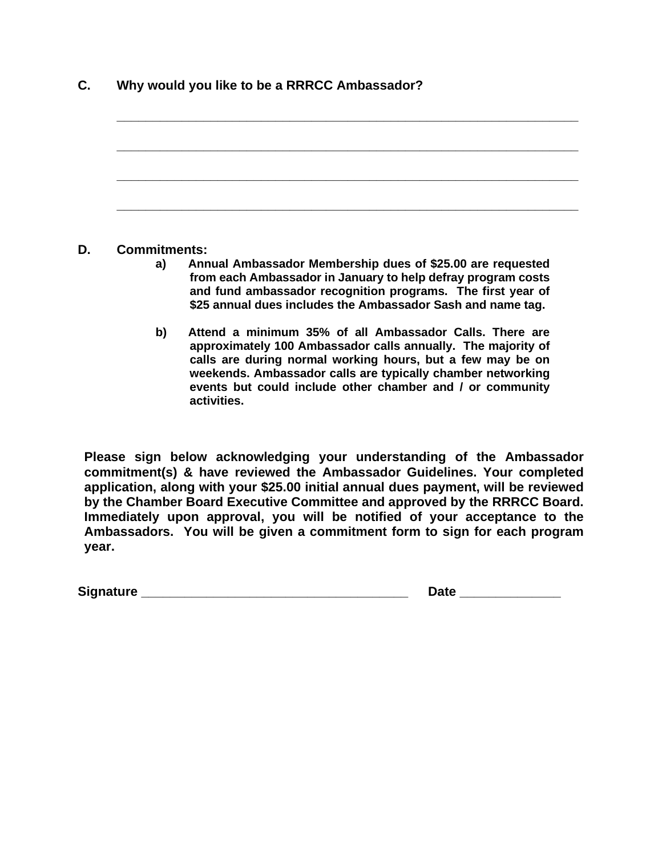| C. | Why would you like to be a RRRCC Ambassador? |
|----|----------------------------------------------|
|----|----------------------------------------------|

#### **D. Commitments:**

- **a) Annual Ambassador Membership dues of \$25.00 are requested from each Ambassador in January to help defray program costs and fund ambassador recognition programs. The first year of \$25 annual dues includes the Ambassador Sash and name tag.**
- **b) Attend a minimum 35% of all Ambassador Calls. There are approximately 100 Ambassador calls annually. The majority of calls are during normal working hours, but a few may be on weekends. Ambassador calls are typically chamber networking events but could include other chamber and / or community activities.**

**Please sign below acknowledging your understanding of the Ambassador commitment(s) & have reviewed the Ambassador Guidelines. Your completed application, along with your \$25.00 initial annual dues payment, will be reviewed by the Chamber Board Executive Committee and approved by the RRRCC Board. Immediately upon approval, you will be notified of your acceptance to the Ambassadors. You will be given a commitment form to sign for each program year.** 

| <b>Signature</b> | --<br>zat |
|------------------|-----------|
|------------------|-----------|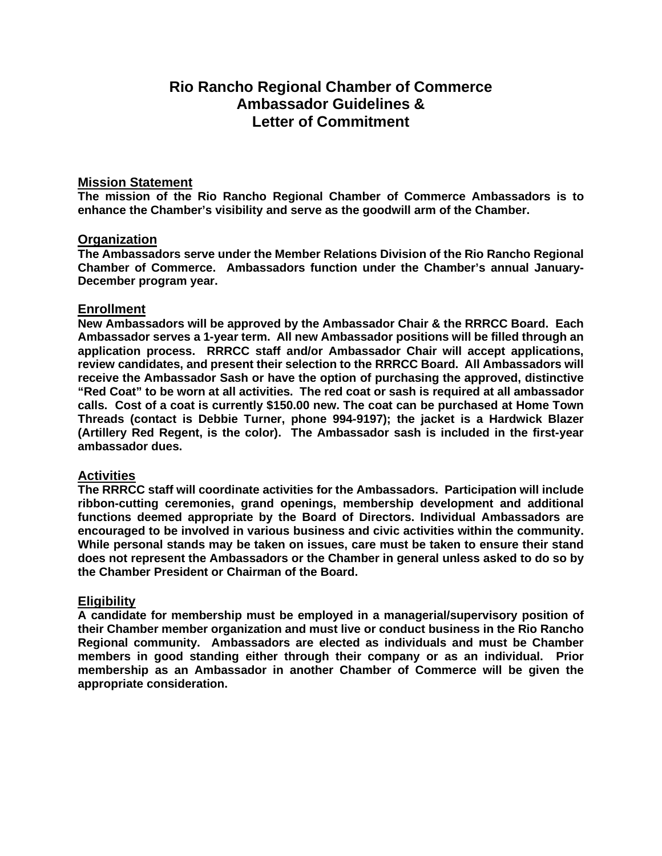### **Rio Rancho Regional Chamber of Commerce Ambassador Guidelines & Letter of Commitment**

#### **Mission Statement**

**The mission of the Rio Rancho Regional Chamber of Commerce Ambassadors is to enhance the Chamber's visibility and serve as the goodwill arm of the Chamber.**

#### **Organization**

**The Ambassadors serve under the Member Relations Division of the Rio Rancho Regional Chamber of Commerce. Ambassadors function under the Chamber's annual January-December program year.** 

#### **Enrollment**

**New Ambassadors will be approved by the Ambassador Chair & the RRRCC Board. Each Ambassador serves a 1-year term. All new Ambassador positions will be filled through an application process. RRRCC staff and/or Ambassador Chair will accept applications, review candidates, and present their selection to the RRRCC Board. All Ambassadors will receive the Ambassador Sash or have the option of purchasing the approved, distinctive "Red Coat" to be worn at all activities. The red coat or sash is required at all ambassador calls. Cost of a coat is currently \$150.00 new. The coat can be purchased at Home Town Threads (contact is Debbie Turner, phone 994-9197); the jacket is a Hardwick Blazer (Artillery Red Regent, is the color). The Ambassador sash is included in the first-year ambassador dues.** 

#### **Activities**

**The RRRCC staff will coordinate activities for the Ambassadors. Participation will include ribbon-cutting ceremonies, grand openings, membership development and additional functions deemed appropriate by the Board of Directors. Individual Ambassadors are encouraged to be involved in various business and civic activities within the community. While personal stands may be taken on issues, care must be taken to ensure their stand does not represent the Ambassadors or the Chamber in general unless asked to do so by the Chamber President or Chairman of the Board.**

#### **Eligibility**

**A candidate for membership must be employed in a managerial/supervisory position of their Chamber member organization and must live or conduct business in the Rio Rancho Regional community. Ambassadors are elected as individuals and must be Chamber members in good standing either through their company or as an individual. Prior membership as an Ambassador in another Chamber of Commerce will be given the appropriate consideration.**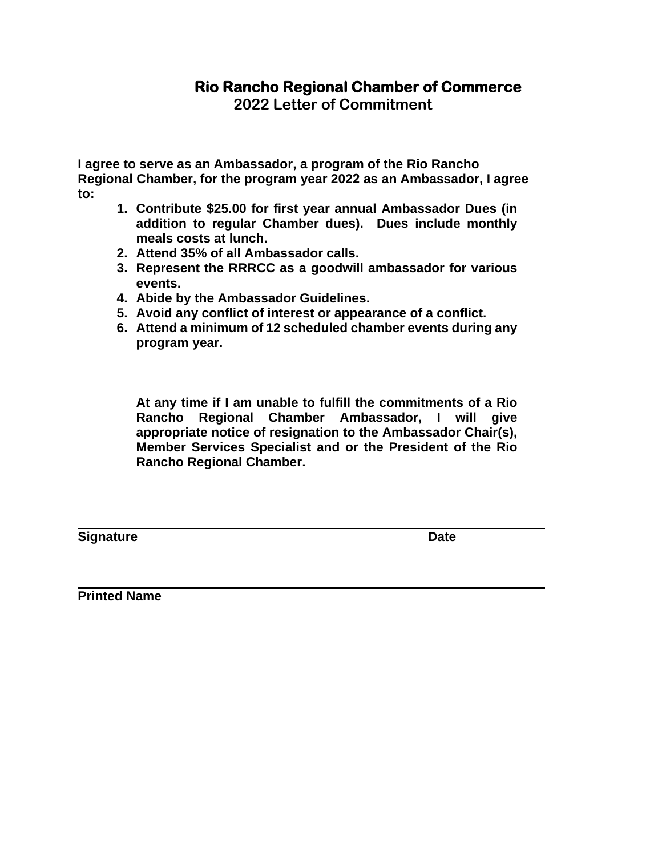# **Rio Rancho Regional Chamber of Commerce**

**2022 Letter of Commitment** 

**I agree to serve as an Ambassador, a program of the Rio Rancho Regional Chamber, for the program year 2022 as an Ambassador, I agree to:** 

- **1. Contribute \$25.00 for first year annual Ambassador Dues (in addition to regular Chamber dues). Dues include monthly meals costs at lunch.**
- **2. Attend 35% of all Ambassador calls.**
- **3. Represent the RRRCC as a goodwill ambassador for various events.**
- **4. Abide by the Ambassador Guidelines.**
- **5. Avoid any conflict of interest or appearance of a conflict.**
- **6. Attend a minimum of 12 scheduled chamber events during any program year.**

**At any time if I am unable to fulfill the commitments of a Rio Rancho Regional Chamber Ambassador, I will give appropriate notice of resignation to the Ambassador Chair(s), Member Services Specialist and or the President of the Rio Rancho Regional Chamber.**

**Signature Date** 

**Printed Name**